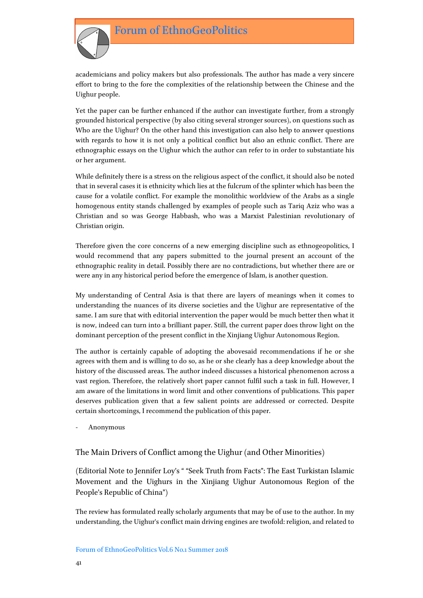

academicians and policy makers but also professionals. The author has made a very sincere effort to bring to the fore the complexities of the relationship between the Chinese and the Uighur people.

Yet the paper can be further enhanced if the author can investigate further, from a strongly grounded historical perspective (by also citing several stronger sources), on questions such as Who are the Uighur? On the other hand this investigation can also help to answer questions with regards to how it is not only a political conflict but also an ethnic conflict. There are ethnographic essays on the Uighur which the author can refer to in order to substantiate his or her argument.

While definitely there is a stress on the religious aspect of the conflict, it should also be noted that in several cases it is ethnicity which lies at the fulcrum of the splinter which has been the cause for a volatile conflict. For example the monolithic worldview of the Arabs as a single homogenous entity stands challenged by examples of people such as Tariq Aziz who was a Christian and so was George Habbash, who was a Marxist Palestinian revolutionary of Christian origin.

Therefore given the core concerns of a new emerging discipline such as ethnogeopolitics, I would recommend that any papers submitted to the journal present an account of the ethnographic reality in detail. Possibly there are no contradictions, but whether there are or were any in any historical period before the emergence of Islam, is another question.

My understanding of Central Asia is that there are layers of meanings when it comes to understanding the nuances of its diverse societies and the Uighur are representative of the same. I am sure that with editorial intervention the paper would be much better then what it is now, indeed can turn into a brilliant paper. Still, the current paper does throw light on the dominant perception of the present conflict in the Xinjiang Uighur Autonomous Region.

The author is certainly capable of adopting the abovesaid recommendations if he or she agrees with them and is willing to do so, as he or she clearly has a deep knowledge about the history of the discussed areas. The author indeed discusses a historical phenomenon across a vast region. Therefore, the relatively short paper cannot fulfil such a task in full. However, I am aware of the limitations in word limit and other conventions of publications. This paper deserves publication given that a few salient points are addressed or corrected. Despite certain shortcomings, I recommend the publication of this paper.

- Anonymous

## The Main Drivers of Conflict among the Uighur (and Other Minorities)

(Editorial Note to Jennifer Loy's " "Seek Truth from Facts": The East Turkistan Islamic Movement and the Uighurs in the Xinjiang Uighur Autonomous Region of the People's Republic of China")

The review has formulated really scholarly arguments that may be of use to the author. In my understanding, the Uighur's conflict main driving engines are twofold: religion, and related to